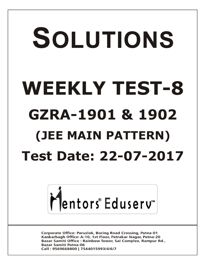# SOLUTIONS **WEEKLY TEST-8 GZRA-1901 & 1902 (JEE MAIN PATTERN) Test Date: 22-07-2017**



**Corporate Office: Paruslok, Boring Road Crossing, Patna-01** Kankarbagh Office: A-10, 1st Floor, Patrakar Nagar, Patna-20 Bazar Samiti Office: Rainbow Tower, Sai Complex, Rampur Rd., **Bazar Samiti Patna-06** Call: 9569668800 | 7544015993/4/6/7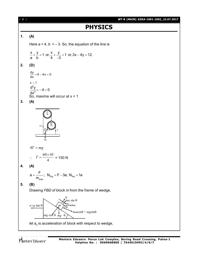

let  $\mathsf{a}_{\scriptscriptstyle{0}}$  is acceleration of block with respect to wedge,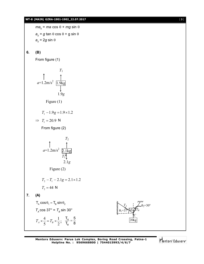# **WT-8 (MAIN) GZRA-1901-1902\_22.07.2017** [ **3** ]

```
ma_{_0} = ma cos \theta + mg sin \thetaa^{\vphantom{\dagger}}_{\scriptscriptstyle{0}} = g tan \theta cos \theta + g sin \thetaa<sub>0</sub> = 2g sin θ
```
# **6. (B)**

From figure (1)

$$
T_1
$$
\n
$$
a=1.2 \text{m/s}^2
$$
\n
$$
1.9 \text{kg}
$$
\n
$$
1.9 \text{g}
$$
\n
$$
0.1 \text{g}
$$
\n
$$
T_1 - 1.9 \text{g} = 1.9 \times 1.2
$$

$$
\Rightarrow T_1 = 20.9 \text{ N}
$$

From figure (2)

$$
T_2
$$
\n
$$
a=1.2 \text{m/s}^2
$$
\n
$$
\underbrace{\uparrow}_{T_1 \uparrow \downarrow} 2.1 \text{kg}
$$
\n
$$
2.1 g
$$
\nFigure (2)

\n
$$
T_2 - T_1 - 2.1 g = 2.1 \times 1.2
$$

$$
T_2 = 44 \text{ N}
$$

**7. (A)**

 $T_A \cos \theta_1 = T_B \sin \theta_2$  $T_A$  cos 37° =  $T_B$  sin 30° 2 1 5  $T_A \times \frac{4}{5} = T_B \times \frac{1}{2}; \quad \frac{T_A}{T}$ B  $T_{\scriptscriptstyle\rm A}$  5  $T_B$  8  $=$ 

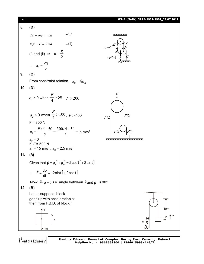

Mentors<sup>®</sup> Eduserv<sup>®</sup>

**Mentors Eduserv: Parus Lok Complex, Boring Road Crossing, Patna-1 Helpline No. : 9569668800 | 7544015993/4/6/7**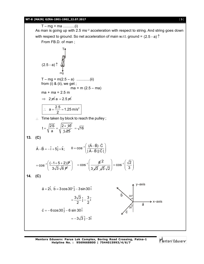# **WT-8 (MAIN) GZRA-1901-1902\_22.07.2017** [ **5** ]

T – mg = ma ...........(i) As man is going up with 2.5 ms<sup>-2</sup> acceleration with respect to string. And string goes down with respect to ground. So net acceleration of main w.r.t. ground =  $(2.5 - a)$ From FB.D. of man ;  $(2.5-a)^{\uparrow}$ mg T  $T - mg = m(2.5 - a)$  ..............(ii) from (i) & (ii), we get ;  $ma = m (2.5 - ma)$  $ma + ma = 2.5 m$  $\Rightarrow$  2 m a = 2.5 m  $a = \frac{2.5}{2} = 1.25$  m/s<sup>2</sup> 2  $\therefore$  a =  $\frac{200}{2}$  = 1  $\therefore$  Time taken by block to reach the pulley;  $t = \sqrt{\frac{2S}{1.25}} = \sqrt{\frac{2 \times 10}{1.25}}$ a  $=\sqrt{\frac{2S}{1}}=\sqrt{\frac{2\times S}{1}}$ 1.25  $=\sqrt{16}$ **13. (C)**  $\vec{A} - \vec{B} = -\hat{i} + 5\hat{j} + \hat{k}$ ;  $\theta = \cos^{-1} \left( \frac{(\vec{A} - \vec{B}) \cdot \vec{C}}{|\vec{A} - \vec{B}| |\vec{C}|} \right)$  $|A-B||C|$  $\theta = \cos^{-1} \left( \frac{(\vec{A} - \vec{B}) \cdot \vec{C}}{(\vec{A} - \vec{B}) \cdot \vec{C}} \right)$  $(|A-B||C|)$ .<br>ಕಂಚು ಕ  $\frac{1}{2}$  $\frac{1}{2}$  $=$  cos<sup>-1</sup> $\left(\frac{(-1+5+2)\cancel{P}}{2\sqrt{2}\sqrt{2}}\right)$  $\left(\frac{(-1+5+2)\cancel{P}^2}{3\sqrt{3}\sqrt{6}\cancel{P}^2}\right) = \cos^{-1}\left(\frac{\cancel{6}^2}{3\sqrt{3}}\right)$ 2  $3\sqrt{3}\sqrt{3}$  $\cos^{-1}\left(\frac{\sqrt{2}}{2}\right)$  $\overline{2}$  )  $\cdots$  (3) ÷  $\left(\frac{\cancel{6}^2}{3\cancel{3}\cancel{3}\cancel{3}\cancel{3}\cancel{2}}\right) = \cos^{-1}\left(\frac{\sqrt{2}}{3}\right)$ **14. (C)** 30°  $30^\circ$ y–axis x–axis b  $\vec{c}$  $\overline{\vec{a}}$  $\vec{a} = 2\hat{i}$ ,  $\vec{b} = 3\cos 30^\circ \hat{j} - 3\sin 30 \hat{i}$  $\frac{3\sqrt{3}}{2}$ j –  $\frac{3}{5}$ i 2 2  $=\frac{600}{2}j \vec{c} = -6\cos 30 \hat{j} - 6\sin 30 \hat{i}$  $=-3\sqrt{3}i-3i$ 

**Mentors Eduserv: Parus Lok Complex, Boring Road Crossing, Patna-1 Helpline No. : 9569668800 | 7544015993/4/6/7**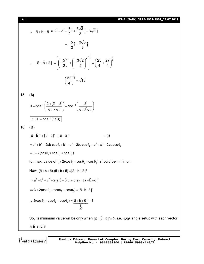[ **6** ] **WT-8 (MAIN) GZRA-1901-1902\_22.07.2017**

$$
\therefore \vec{a} + \vec{b} + \vec{c} = 2\hat{i} - 3\hat{i} - \frac{3}{2}\hat{i} + \frac{3\sqrt{3}}{2}\hat{j} - 3\sqrt{3}\hat{j}
$$

$$
= -\frac{5}{2}\hat{i} - \frac{3\sqrt{3}}{2}\hat{j}
$$

$$
\therefore |\vec{a} + \vec{b} + \vec{c}| = \left[ \left( -\frac{5}{2} \right)^2 + \left( -\frac{3\sqrt{2}}{2} \right)^2 \right]^{\frac{1}{2}} = \left( \frac{25}{4} + \frac{27}{4} \right)^{\frac{1}{2}}
$$

$$
\left( \frac{52}{4} \right)^{\frac{1}{2}} = \sqrt{13}
$$

$$
15. (A)
$$

$$
\theta = \cos^{-1}\left(\frac{2+\cancel{2}-\cancel{2}}{\sqrt{3} \ 2\sqrt{3}}\right) = \cos^{-1}\left(\frac{\cancel{2}}{\sqrt{3}\cancel{2}\sqrt{3}}\right)
$$
  

$$
\therefore \ \theta = \cos^{-1}\left(\frac{1}{3}\right)
$$

$$
16. (B)
$$

$$
|\vec{a} - \vec{b}|^2 + |\vec{b} - \vec{c}|^2 + |\vec{c} - \vec{a}|^2
$$
...(i)  
=  $a^2 + b^2 - 2ab \cos \theta_1 + b^2 + c^2 - 2bc \cos \theta_2 + c^2 + a^2 - 2ca \cos \theta_3$ 

$$
= 6 - 2(\cos\theta_1 + \cos\theta_2 + \cos\theta_3)
$$

for max. value of (i)  $2(\cos \theta_1 + \cos \theta_2 + \cos \theta_3)$  should be minimum.

Now, 
$$
(\vec{a} + \vec{b} + \vec{c}) \cdot (\vec{a} + \vec{b} + \vec{c}) = |\vec{a} + \vec{b} + \vec{c}|^2
$$

$$
\Rightarrow a^2 + b^2 + c^2 + 2(\vec{a}.\vec{b} + \vec{b}.\vec{c} + \vec{c}.\vec{a}) = |\vec{a} + \vec{b} + \vec{c}|^2
$$

$$
\Rightarrow 3 + 2(\cos\theta_1 + \cos\theta_2 + \cos\theta_3) = |\vec{a} + \vec{b} + \vec{c}|^2
$$

$$
\therefore 2(\cos\theta_1 + \cos\theta_2 + \cos\theta_3) = \underbrace{|\vec{a} + \vec{b} + \vec{c}|^2}_{\geq 0} - 3
$$

So, its minimum value will be only when  $|\vec{a} + \vec{b} + \vec{c}|^2 = 0$  $\vec{a} + \vec{b} + \vec{c}\,|^2 = 0$  . i.e. 120° angle setup with each vector ā,  $\vec{b}$  and  $\vec{c}$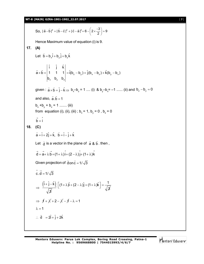**WT-8 (MAIN) GZRA-1901-1902\_22.07.2017** [ **7** ]

So, 
$$
|\vec{a}-\vec{b}|^2 + |\vec{b}-\vec{c}|^2 + |\vec{c}-\vec{a}|^2 = 6 - \left(2 \times \frac{-3}{2}\right) = 9
$$

Hence Maximum value of equation (i) is 9.

17. **(A)**  
\nLet 
$$
\vec{b} = b_x \hat{i} + b_y \hat{j} + b_z \hat{k}
$$
  
\n
$$
\vec{a} \times \vec{b} = \begin{vmatrix}\n\hat{i} & \hat{j} & \hat{k} \\
1 & 1 & 1 \\
b_x & b_y & b_z\n\end{vmatrix} = \hat{i}(b_z - b_y) + \hat{j}(b_x - b_z) + \hat{k}(b_y - b_x)
$$
\ngiven :  $\vec{a} \times \vec{b} = \hat{j} - \hat{k} \Rightarrow b_x - b_z = 1$  .... (i)  $\& b_y - b_x = -1$  ...... (ii) and  $b_z - b_y = 0$   
\nand also,  $\vec{a} \cdot \vec{b} = 1$   
\n $b_x + b_y + b_z = 1$  ...... (iii)  
\nfrom equation (i), (ii), (iii) ;  $b_x = 1$ ,  $b_y = 0$ ,  $b_z = 0$   
\n $\vec{b} = \hat{i}$   
\n18. **(C)**  
\n $\vec{a} = \hat{i} + 2\hat{j} + \hat{k}$ ,  $\vec{b} = \hat{i} - \hat{j} + \hat{k}$   
\nLet  $\vec{d}$  is a vector in the plane of  $\vec{a} \& \vec{b}$ . then,  
\n $\vec{d} = \vec{a} + \lambda \vec{b} = (1 + \lambda)\hat{i} + (2 - \lambda)\hat{j} + (1 + \lambda)\hat{k}$   
\nGiven projection of  $\vec{d}$  on  $\vec{c} = 1/\sqrt{3}$   
\n $\hat{c} \cdot \vec{d} = 1/\sqrt{3}$   
\n $\Rightarrow \frac{(\hat{i} + \hat{j} - \hat{k})}{\sqrt{3}} [ (1 + \lambda)\hat{i} + (2 - \lambda)\hat{j} + (1 + \lambda)\hat{k} ] = \frac{1}{\sqrt{3}}$   
\n $\Rightarrow \lambda + \lambda + 2 - \lambda - \lambda = 1$   
\n $\lambda = 1$   
\n $\therefore \vec{d} = 2\hat{i} + \hat{j} + 2\hat{k}$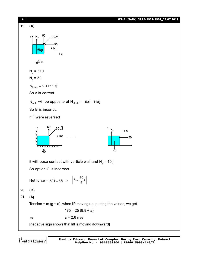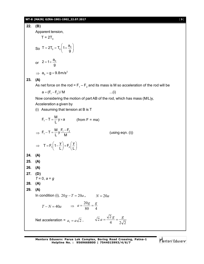### **WT-8 (MAIN) GZRA-1901-1902\_22.07.2017** [ **9** ]

**22. (B)** Apparent tension,  $T = 2T_0$ So  $=2T_0 = T_0 \left(1 + \frac{a_0}{g}\right)$  $T = 2T_0 = T_0 \left( 1 + \frac{a}{a} \right)$ g or  $2 = 1 + \frac{a_0}{a}$ g  $\Rightarrow$  a<sub>0</sub> = g = 9.8m/s<sup>2</sup> **23. (A)** As net force on the rod =  $\mathsf{F}_{_{1}}\mathsf{-F}_{_{2}}$  and its mass is M so acceleration of the rod will be  $a = (F_1 - F_2) / M$  ...(i) Now considering the motion of part AB of the rod, which has mass (M/L)y, Acceleration a given by (i) Assuming that tension at B is T  $F_1 - T = \frac{M}{l} y \times a$  $\frac{m}{L}$ y×a (from F = ma)  $\Rightarrow$  $F_1 - T = \frac{M}{I} y \frac{F_1 - F_2}{M}$  $(u\sin g$  eqn.  $(i))$  $\Rightarrow$  T = F<sub>1</sub> $\left(1-\frac{y}{L}\right)+F_2\left(\frac{y}{L}\right)$  $L$ )  $^{2}$ ( $L$ **24. (A) 25. (A) 26. (A) 27. (D)** *T* = 0, *a* = *g* **28. (A) 29. (A)** In condition (i),  $20g - T = 20a$ ,  $N = 20a$  $T - N = 40a$   $\Rightarrow$   $a = \frac{8}{80} = \frac{8}{4}$  $a = \frac{20g}{a^2} = \frac{g}{4}$ Net acceleration =  $a_1 = a\sqrt{2}$ ,  $\qquad \sqrt{2}a = \frac{a}{4} = \frac{b}{2\sqrt{2}}$  $\frac{1}{2}a = \frac{\sqrt{2}g}{4} = \frac{g}{2}$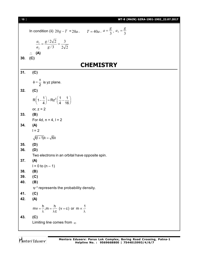| WT-8 (MAIN) GZRA-1901-1902 22.07.2017<br><b>f 10 1</b> |
|--------------------------------------------------------|
|--------------------------------------------------------|

|     | In condition (ii) $20g - T = 20a$ , $T = 40a$ , $a = \frac{g}{3}$ , $a_2 = \frac{g}{3}$       |
|-----|-----------------------------------------------------------------------------------------------|
|     | $rac{a_1}{a_2} = \frac{g/2\sqrt{2}}{g/3} = \frac{3}{2\sqrt{2}}$                               |
|     |                                                                                               |
|     | $\therefore$ (A)                                                                              |
| 30. | (C)                                                                                           |
|     | <b>CHEMISTRY</b>                                                                              |
| 31. | (C)                                                                                           |
|     | $\phi = \frac{\pi}{2}$ is yz plane.                                                           |
| 32. | (C)                                                                                           |
|     | $R\left(1-\frac{1}{4}\right) = Rz^{2}\left(\frac{1}{4}-\frac{1}{16}\right)$                   |
|     | or, $z = 2$                                                                                   |
| 33. | (B)                                                                                           |
|     | For 4d, $n = 4$ , $l = 2$                                                                     |
| 34. | (A)                                                                                           |
|     | $I = 2$                                                                                       |
|     | $\sqrt{1(1+1)}\hbar = \sqrt{6}\hbar$                                                          |
| 35. | (D)                                                                                           |
| 36. | (D)                                                                                           |
|     | Two electrons in an orbital have opposite spin.                                               |
| 37. | (A)                                                                                           |
|     | $1 = 0$ to $(n - 1)$                                                                          |
| 38. | (B)                                                                                           |
| 39. | (C)                                                                                           |
| 40. | (B)                                                                                           |
| 41. | $\psi$ <sup>2</sup> represents the probability density.                                       |
| 42. | (C)<br>(A)                                                                                    |
|     |                                                                                               |
|     | $mv = \frac{h}{\lambda}$ , $m = \frac{h}{\lambda c}$ (v = c) or $m \propto \frac{1}{\lambda}$ |
| 43. | (C)                                                                                           |
|     | Limiting line comes from $\infty$                                                             |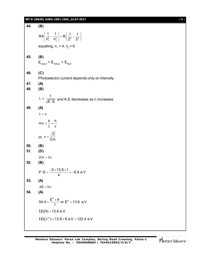# **WT-8 (MAIN) GZRA-1901-1902\_22.07.2017** [ **11** ]

| 44. | (B)                                                                                        |
|-----|--------------------------------------------------------------------------------------------|
|     | $R4\left(\frac{1}{n_1^2}-\frac{1}{n_2^2}\right)=R\left(\frac{1}{2^2}-\frac{1}{3^2}\right)$ |
|     |                                                                                            |
|     | equating, $n_1 = 4$ , $n_2 = 6$                                                            |
| 45. | (B)<br>$E_{\text{Green}}$ > $E_{\text{Yellow}}$ > $E_{\text{Red}}$ .                       |
| 46. | (C)                                                                                        |
|     | Photoelectric current depends only on intensity                                            |
| 47. | (A)                                                                                        |
| 48. | (B)                                                                                        |
|     | $\lambda \propto \frac{1}{\sqrt{K \cdot E}}$ and K.E decreases as n increases              |
| 49. | (A)                                                                                        |
|     | $\lambda = v$                                                                              |
|     | $mv = \frac{h}{\lambda} = \frac{h}{v}$                                                     |
|     | or, $v = \sqrt{\frac{h}{m}}$                                                               |
| 50. | (B)                                                                                        |
| 51. | (D)                                                                                        |
|     | $2\pi r = n\lambda$                                                                        |
| 52. | (B)                                                                                        |
|     | $P \cdot E = \frac{-2 \times 13.6 \times 1}{4} = -6.8$ e.V                                 |
| 53. | (A)                                                                                        |
|     | $\Delta E = h v$                                                                           |
| 54. | (A)                                                                                        |
|     | 54.4 = $\frac{E^0 \times 4}{1}$ or $E^0 = 13.6$ e.V                                        |
|     | $I.E(H) = 13.6 e.V$                                                                        |
|     | $IE(Li^{2}) = 13.6 \times 9$ e.V = 122.4 e.V                                               |
|     |                                                                                            |

Mentors<sup>e</sup> Eduserv<sup>-</sup>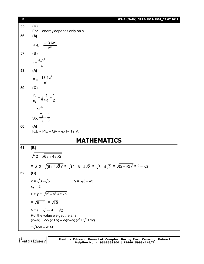| [12] | WT-8 (MAIN) GZRA-1901-1902_22.07.2017                                                                                                        |
|------|----------------------------------------------------------------------------------------------------------------------------------------------|
| 55.  | (C)                                                                                                                                          |
|      | For H energy depends only on n                                                                                                               |
| 56.  | (A)                                                                                                                                          |
|      | $K \cdot E = \frac{+13.6z^2}{n^2}$                                                                                                           |
| 57.  | (B)                                                                                                                                          |
|      | $r = \frac{a_0 n^2}{7}$                                                                                                                      |
| 58.  | (A)                                                                                                                                          |
|      | $E = \frac{-13.6z^2}{n^2}$                                                                                                                   |
| 59.  | (C)                                                                                                                                          |
|      | $\frac{n_1}{n_2} = \sqrt{\frac{R}{4R}} = \frac{1}{2}$                                                                                        |
|      | $T \propto n^3$                                                                                                                              |
|      | So, $\frac{T_1}{T_2} = \frac{1}{8}$                                                                                                          |
| 60.  | (A)<br>$K.E = P.E = QV = ex1 = 1e.V.$                                                                                                        |
|      | <b>MATHEMATICS</b>                                                                                                                           |
| 61.  | (B)                                                                                                                                          |
|      | $\sqrt{12-\sqrt{68+48\sqrt{2}}}$                                                                                                             |
|      | = $\sqrt{12 - \sqrt{(6 + 4\sqrt{2})^2}}$ = $\sqrt{12 - 6 - 4\sqrt{2}}$ = $\sqrt{6 - 4\sqrt{2}}$ = $\sqrt{(2 - \sqrt{2})^2}$ = $2 - \sqrt{2}$ |
| 62.  | (B)                                                                                                                                          |
|      | $x = \sqrt{3 - \sqrt{5}}$<br>$y = \sqrt{3 + \sqrt{5}}$                                                                                       |
|      | $xy = 2$                                                                                                                                     |
|      | $x + y = \sqrt{x^2 + y^2 + 2 \times 2}$                                                                                                      |
|      | $=\sqrt{6+4} = \sqrt{10}$                                                                                                                    |
|      | $x - y = \sqrt{6 - 4} = \sqrt{2}$                                                                                                            |
|      | Put the value we get the ans.                                                                                                                |
|      | $(x-y)$ + 2xy $(x + y)$ – xy $(x - y)$ $(x2 + y2 + xy)$                                                                                      |
|      | $-\sqrt{450} + \sqrt{160}$                                                                                                                   |
|      |                                                                                                                                              |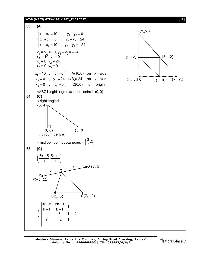# **WT-8 (MAIN) GZRA-1901-1902\_22.07.2017** [ **13** ]

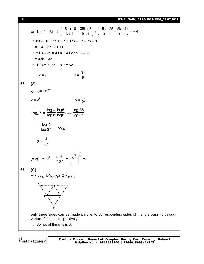[ **14** ] **WT-8 (MAIN) GZRA-1901-1902\_22.07.2017**

$$
\Rightarrow 1. (-2-3)-1. \left(\frac{-6k+10}{k+1} - \frac{35k+7}{k+1}\right) + \left(\frac{15k-25}{k+1} - \frac{5k+1}{k+1}\right) = \pm 4
$$
\n  
\n⇒ 6k-10+35 k+7+15k-25-5k-1  
\n= ±4+37 (k+1)  
\n⇒ 51 k-29 = 41 k+41 or 51 k-29  
\n= 33k+33  
\n⇒ 10 k = 70 or 18 k = 62  
\n k = 7 \n k =  $\frac{31}{9}$   
\n66. (A)  
\n $x = 2^{1000}e^{8100^{131}}$   
\n $x = 2^9$   $y = \frac{1}{2^4}$   
\n $Log_B N = \frac{log 4}{log 5} \frac{log 5}{log 6}$  ....  $log \frac{36}{37}$   
\n $= \frac{log 4}{log 37} = log_{37}4$   
\n $Z = \frac{4}{37}$   
\n(x y)<sup>2</sup> = (2<sup>9</sup>.2<sup>1/4</sup>) $\frac{4}{37}$  =  $\left(2^{\frac{37}{4}}\right)^{\frac{4}{37}}$  = 2  
\n67. (C)  
\nA(x<sub>1</sub>, y<sub>1</sub>), B(x<sub>2</sub>, y<sub>2</sub>), C(x<sub>3</sub>, y<sub>3</sub>)  
\n $= \frac{4}{\sqrt{25}}$   
\nSolving the sides can be made parallel to corresponding sides of the

of triangle passing through vertex of triangle respectively

 $\Rightarrow$  So no. of Ilgrams is 3.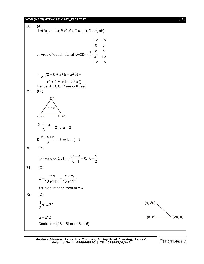# **WT-8 (MAIN) GZRA-1901-1902\_22.07.2017** [ **15** ]

**68. (A** ) Let A(-a, -b); B (0, 0); C (a, b); D (a<sup>2</sup>, ab) ∴ Area of quadrilateral ∆ACD =  $\frac{1}{2}$   $\Big|_a^a$ a –b| 0 0 a b  $a^2$  ab a –b| –a –b –a –b  $=\frac{1}{2}$  [(0 + 0 + a<sup>2</sup> b – a<sup>2</sup> b) +  $(0 + 0 + a^2 b - a^2 b)$ ] Hence, A, B, C, D are collinear. **69. (B** ) G(2,3) A(5,6)  $C(a,b)$   $B(-1,4)$  $5 - 1 + a$ 3  $-1+$ a  $= 2 \Rightarrow a = 2$ &  $6 + 4 + b$ 3  $+4+$  $= 3 \Rightarrow b = (-1)$ **70. (B)** Let ratio be  $\lambda$  : 1  $\Rightarrow \frac{6\lambda - 3}{3} = 0$ ,  $\lambda = \frac{1}{2}$  $1 \quad 2$  $\lambda$ :1  $\Rightarrow \frac{6\lambda - 3}{2} = 0$ ,  $\lambda = \frac{1}{2}$  $\lambda + 1$ **71. (C)**  $x = \frac{711}{12 \cdot 11} = \frac{9 \times 79}{12 \cdot 11}$  $13 + 11m$   $13 + 11m$  $=\frac{711}{10-44}=\frac{9 \times}{10}$  $+11m$   $13+1$ if x is an integer, then  $m = 6$ **72. (D)**  $\frac{1}{2}a^2 = 72$ 2  $=$ (a, 2a)  $a = \pm 12$  (2a, a) Centroid = (16, 16) or (-16, -16)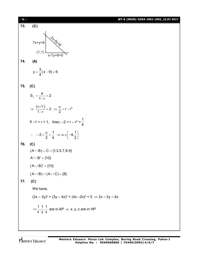| $[16]$ | WT-8 (MAIN) GZRA-1901-1902_22.07.2017                                                                |
|--------|------------------------------------------------------------------------------------------------------|
| 73.    | (C)                                                                                                  |
|        |                                                                                                      |
|        | $7x+y=8$                                                                                             |
|        | (1,1)                                                                                                |
| 74.    | $x - 7y + 6 = 0$<br>(A)                                                                              |
|        |                                                                                                      |
|        | $y = \frac{3}{4}(x-9)+6$                                                                             |
|        |                                                                                                      |
| 75.    | (C)                                                                                                  |
|        | $S_{\infty} = \frac{a}{1-r} = 2$                                                                     |
|        | $\Rightarrow \frac{(\alpha/r)}{1-r} = 2 \Rightarrow \frac{\alpha}{2} = r - r^2$                      |
|        | If $-1 < r < 1$ , then, $-2 < r - r^2 < \frac{1}{4}$                                                 |
|        | $\therefore -2 < \frac{\alpha}{2} < \frac{1}{4} \Rightarrow \alpha \in \left(-4, \frac{1}{2}\right)$ |
| 76.    | (C)                                                                                                  |
|        | $(A \cap B) \cup C = \{1, 3, 5, 7, 8, 9\}$                                                           |
|        | $A' \cap B' = \{10\}$                                                                                |
|        | $(A \cup B)' = \{10\}$                                                                               |
|        | $(A \cap B) \cap (A \cap C) = \{8\}$                                                                 |
| 77.    | (C)                                                                                                  |
|        | We have,                                                                                             |
|        | $(2x - 3y)^2$ + $(3y - 4z)^2$ + $(4z - 2x)^2$ = 0 $\Rightarrow$ $2x = 3y = 4z$                       |
|        | $\Rightarrow \frac{1}{x}, \frac{1}{y}, \frac{1}{z}$ are in AP $\Rightarrow$ x, y, z are in HP        |
|        |                                                                                                      |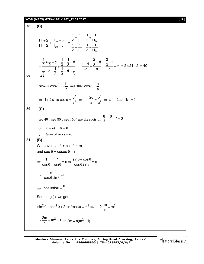### **WT-8 (MAIN) GZRA-1901-1902\_22.07.2017** [ **17** ]

**78. (C)** <u>1 2 1 ב' 1</u> 20  $1 - 20$  $H_1 + 2$   $H_{20} + 3$  $H_1 - 2$   $H_{20} - 3$  $+\frac{2}{9} + \frac{H_{20} +}{H_{11}}$  $\frac{+2}{-2} + \frac{120+3}{H_{20}-3} = \frac{2}{1} - \frac{11}{1} + \frac{3}{1} - \frac{120}{1}$  $1^{1}$  20  $1 \quad 1 \quad 1 \quad 1$ 2 H<sub>1</sub> 3 H 1 1 1 1 2 H<sub>1</sub> 3 H  $+\frac{1}{11} + \frac{1}{6} +$  $=\frac{2}{4} + \frac{1}{4}$  $-\frac{1}{11}$   $\frac{1}{2}$  - $\frac{1}{2} + \frac{1}{2} + d$   $\frac{1}{2} + \frac{1}{2} - d$  $2\quad 2\quad +\quad 3\quad 3$  $\frac{1}{2}$  – d –  $\frac{1}{2}$   $\frac{1}{2}$  + d –  $\frac{1}{2}$ 2 2 3 3  $+\frac{1}{2}+d$   $\frac{1}{2}+\frac{1}{2}-d$  $=\frac{2}{4}$   $\frac{2}{4}$  + - $-d-\frac{1}{2}$   $\frac{1}{2}+d-\frac{1}{2}$  $=\frac{1+d}{1}+\frac{\frac{2}{3}-d}{1}=\frac{\frac{2}{3}-1}{1}-2$ d d d  $=\frac{1+d}{1}+\frac{2-d}{3}=\frac{2d-1}{3}$  $\overline{a}$  $= 2 \times 21 - 2 = 40$ **79. (A)**  $\sin \alpha + \cos \alpha = -\frac{b}{c}$ a  $\alpha$  + cos  $\alpha$  = - and sin  $\alpha$  cos  $\alpha$  =  $\frac{c}{c}$ a  $\alpha$  cos  $\alpha = 2^2$   $\rightarrow$  1,  $2c - b^2$   $\rightarrow$   $2^2 + 22c - b^2$  $1 + 2\sin\alpha \cos\alpha = \frac{b^2}{2^2} \Rightarrow 1 + \frac{2c}{2} = \frac{b^2}{2^2} \Rightarrow a^2 + 2ac - b^2 = 0$  $\mathsf{a}^{\mathsf{z}}$  a  $\mathsf{a}^{\mathsf{z}}$  $\Rightarrow$  1+2sin $\alpha$  cos  $\alpha = \frac{6}{2}$   $\Rightarrow$  1+ $\frac{26}{2}$  =  $\frac{8}{2}$   $\Rightarrow$  a<sup>2</sup> + 2ac - b<sup>2</sup> = 0 **80. (C)** sec 40°, sec 80°, sec 160° are the roots of  $\frac{8}{13} - \frac{6}{1} + 1 = 0$ t<sup>3</sup>t  $-\frac{6}{4}+1=0$ or  $t^3 - 6t^2 + 8 = 0$  $\therefore$  Sum of roots = 6. **81. (B)** We have,  $sin \theta + cos \theta = m$ and sec  $\theta$  + cosec  $\theta$  = n  $\frac{1}{\hat{c}} + \frac{1}{\hat{c}} = n \Rightarrow \frac{\sin \theta + \cos \theta}{\hat{c} + \hat{c}} = n$  $\cos\theta$  sin $\theta$  cos $\theta$ sin  $\Rightarrow$   $\frac{1}{\sqrt{1-x^2}} + \frac{1}{\sqrt{1-x^2}} = n \Rightarrow \frac{\sin \theta + \cos \theta}{\cos \theta + \cos \theta} = n$  $\theta$  sin $\theta$  cos $\theta$ sin $\theta$  $\Rightarrow$  $\frac{m}{\sqrt{m}}$  = n  $\cos\theta$ sin  $=$  $\theta$ sin $\theta$  $\Rightarrow$  $\cos\theta\sin\theta = \frac{m}{2}$ n  $\theta$ sin $\theta = \frac{1}{2}$ Squaring (i), we get  $\sin^2 \theta + \cos^2 \theta + 2 \sin \theta \cos \theta = m^2 \Rightarrow 1 + 2 \cdot \frac{m}{m} = m^2$ n  $\theta$  + cos<sup>2</sup>  $\theta$  + 2 sin  $\theta$  cos  $\theta$  = m<sup>2</sup>  $\Rightarrow$  1 + 2 ·  $\frac{11}{2}$  = r  $\frac{2m}{m} = m^2 - 1$  $\Rightarrow \frac{2m}{n} = m^2 - 1 \Rightarrow 2m = n(m^2 - 1).$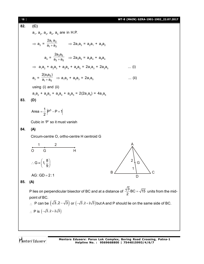